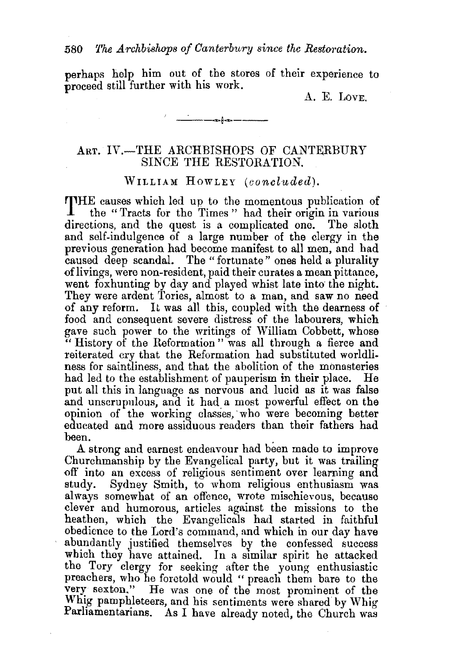perhaps help him out of the stores of their experience to proceed still further with his work.

' \_. ---6----

A. E. LovE.

## ART. IV.-THE ARCHBISHOPS OF CANTERBURY SINCE THE RESTORATION.

WILLIAM HowLEY *(concluded).* 

THE causes which led up to the momentous publication of the "Tracts for the Times" had their origin in various directions, and the quest is a complicated one. The sloth and self-indulgence of a large number of the clergy in the previous generation had become manifest to all men, and had caused deep scandal. The " fortunate " ones held a plurality of livings, were non-resident, paid their curates a mean pittance, went foxhunting by day and played whist late into the night. They were ardent Tories, almost to a man, and saw no need of any reform. It was all this, coupled with the dearness of food and consequent severe distress of the labourers, which gave such power to the writings of William Cobbett, whose " History of the Reformation " was all through a fierce and reiterated cry that the Reformation had substituted worldli. ness for saintliness, and that the abolition of the monasteries had led to the establishment of pauperism in their place. He put all this in language as nervous and lucid as it was false and unscrupulous, and it had a most powerful effect on the opinion of the working classes, who were becoming better educated and more assiduous readers than their fathers had been.

A strong and earnest endeavour had been made to improve Churchmanship by the Evangelical party, but it was trailing off into an excess of religious sentiment over learning and study. Sydney Smith, to whom religious enthusiasm was always somewhat of an offence, wrote mischievous, because elever and humorous, articles against the missions to the heathen, which the Evangelicals had started in faithful obedience to the Lord's command, and which in our day have abundantly justified themselves by the confessed success which they have attained. In a similar spirit he attacked the Tory clergy for seeking after the young enthusiastic preachers, who he foretold would " preach them bare to the very sexton." He was one of the most prominent of the Whig pamphleteers, and his sentiments were shared by Whig Parliamentarians. As I have already noted, the Church was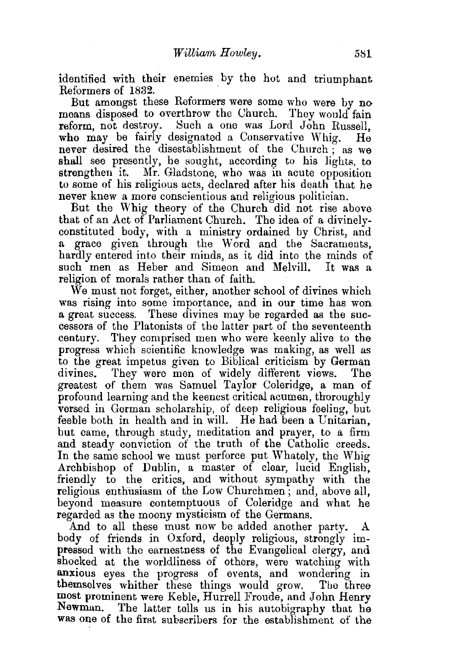identified with their enemies by the hot and triumphant Reformers of 1832.

But amongst these Reformers were some who were by no means disposed to overthrow the Uhurch. They would fain reform, not destroy. Such a one was Lord John Russell, who may be fairly designated a Conservative Whig. He never desired the disestablishment of the Church; as we shall see presently, he sought, according to his lights, to strengthen it. Mr. Gladstone, who was in acute opposition to some of his religious acts, declared after his death that he never knew a more conscientious and religious politician.

But the Whig theory of the Church did not rise above that of an Act of Parliament Church. The idea of a divinelyconstituted body, with a ministry ordained by Christ, and a grace given through the Word and the Sacraments, hardly entered into their minds, as it did into the minds of such men as Heber and Simeon and Melvill. It was a religion of morals rather than of faith.

We must not forget, either; another school of divines which was rising into some importance, and in our time has won a great success. These divines may be regarded as the successors of the Platonists of the latter part of the seventeenth century. They comprised men who were keenly alive to the progress which scientific knowledge was making, as well as to the great impetus given to Biblical criticism by German divines. They were men of widely different views. The greatest of them was Samuel Taylor Coleridge, a man of profound learning and the keenest critical acumen, thoroughly versed in German scholarship, of deep religious feeling, but feeble both in health and in will. He had been a Unitarian, but came, through study, meditation and prayer, to a firm and steady conviction of the truth of the Catholic creeds. In the same school we must perforce put Whately, the Whig Archbishop of Dublin, a master of clear, lucid English, friendly to the critics, and without sympathy with the religious enthusiasm of the Low Churchmen ; and, above all, beyond measure contemptuous of Coleridge and what he regarded as the moony mysticism of the Germans.

And to all these must now be added another party. A body of friends in Oxford, deeply religious, strongly impressed with the earnestness of the Evangelical clergy, and shocked at the worldliness of others, were watching with anxious eyes the progress of events, and wondering in themselves whither these things would grow. The three most prominent were Kable, Hurrell Froude, and John Henry Newman. The latter tells us in his autobigraphy that he was one of the first subscribers for the establishment of the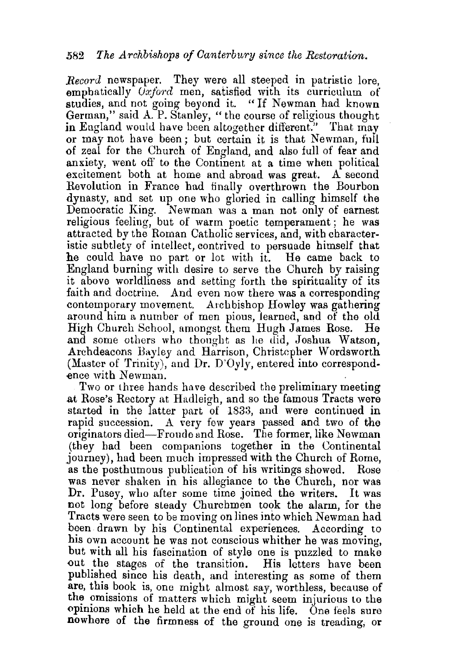*Record* newspaper. They were all steeped in patristic lore, emphatically *Uxford* men, satisfied with its curriculum of studies, and not going beyond it. "If Newman had known German," said A. P. Stanley, "the course of religious thought in England would have been altogether different." That may or may not have been; but certain it is that Newman, full of zeal for the Church of England, and also full of fear and anxiety, went oft' to the Continent at a time when political excitement both at home and abroad was great. A second Revolution in France had finally overthrown the Bourbon dynasty, and set up one who gloried in calling himself the Democratic King. Newman was a man not only of earnest religious feeling, but of warm poetic temperament; he was attracted by the Roman Catholic services, and, with characteristic subtlety of intellect, contrived to persuade himself that he could have no part or lot with it. He came back to England burning with desire to serve the Church by raising it above worldliness and setting forth the spirituality of its faith and doctrine. And even now there was a corresponding eontemporary movement. Archbishop Howley was gathering around him a number of men pious, learned, and of the old High Church School, amongst them Hugh James Rose. He and some others who thought as lie did, Joshua Watson, Archdeacons Bayley and Harrison, Christepher Wordsworth (Master of Trinity), and Dr. D'Oyly, entered into correspondence with Newman.

Two or three hands have described the preliminary meeting at Rose's Rectory at Hadleigh, and so the famous Tracts were started in the latter part of 1833, and were continued in rapid succession. A very few years passed and two of the originators died-Froude and Rose. The former, like Newman (they had been companions together in the Continental journey), had been much impressed with the Church of Rome, as the posthumous publication of his writings showed. Rose was never shaken in his allegiance to the Church, nor was Dr. Pusey, who after some time joined the writers. It was not long before steady Churchmen took the alarm, for the Tracts were seen to be moving on lines into which Newman had been drawn by his Continental experiences. According to his own account he was not conscious whither he was moving, but with all his fascination of style one is puzzled to make out the stages of the transition. His letters have been published since his death, and interesting as some of them are, this book is, one might almost say, worthless, because of the omissions of matters which might seem injurious to the opinions which he held at the end of his life. One feels sure nowhere of the firmness of the ground one is treading, or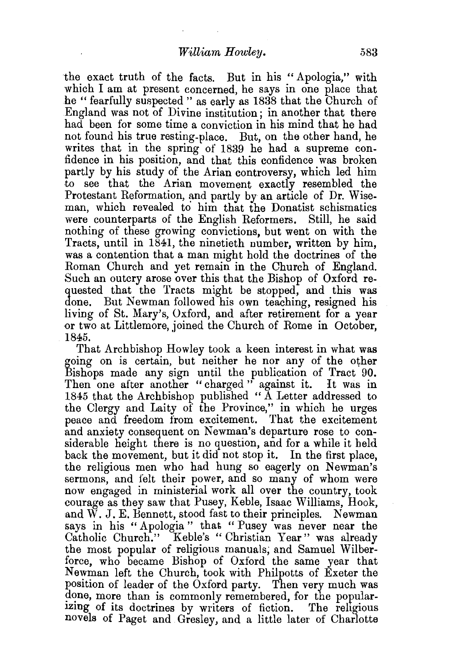the exact truth of the facts. But in his "Apologia," with which I am at present concerned, he says in one place that he " fearfully suspected " as early as 1838 that the Church of England was not of Divine institution; in another that there had been for some time a conviction in his mind that he had not found his true resting-place. But, on the other hand, he writes that in the spring of 1839 he had a supreme confidence in his position, and that this confidence was broken partly by his study of the Arian controversy, which led him to see that the Arian movement exactly resembled the Protestant Reformation, and partly by an article of Dr. Wiseman, which revealed to him that the Donatist schismatics were counterparts of the English Reformers. Still, he said nothing of these growing convictions, but went on with the Tracts, until in 1841, the ninetieth number, written by him, was a contention that a man might hold the doctrines of the Roman Church and yet remain in the Church of England. Such an outcry arose over this that the Bishop of Oxford requested that the Tracts might be stopped, and this was done. But Newman followed his own teaching, resigned his living of St. Mary's, Oxford, and after retirement for a year or two at Littlemore, joined the Church of Rome in October, 1845.

That Archbishop Howley took a keen interest in what was going on is certain, but neither he nor any of the other Bishops made any sign until the publication of Tract 90. Then one after another "charged" against it. It was in 1845 that the Archbishop published " A Letter addressed to the Clergy and Laity of the Province," in which he urges peace and freedom from excitement. That the excitement and anxiety consequent on Newman's departure rose to considerable height there is no question, and for a while it held back the movement, but it did not stop it. In the first place, the religious men who had hung so eagerly on Newman's sermons, and felt their power, and so many of whom were now engaged in ministerial work all over the country, took courage as they saw that Pusey, Keble, Isaac Williams, Hook, and W. J. E. Bennett, stood fast to their principles. Newman says in his "Apologia" that "Pusey was never near the Catholic Church." Keble's "Christian Year" was already the most popular of religious manuals; and Samuel Wilberforce, who became Bishop of Oxford the same year that Newman left the Church, took with Philpotts of Exeter the position of leader of the Oxford party. Then very much was done, more than is commonly remembered, for the popular-Izmg of its doctrines by writers of fiction. 'fhe religious novels of Paget and Gresley, and a little later of Charlotte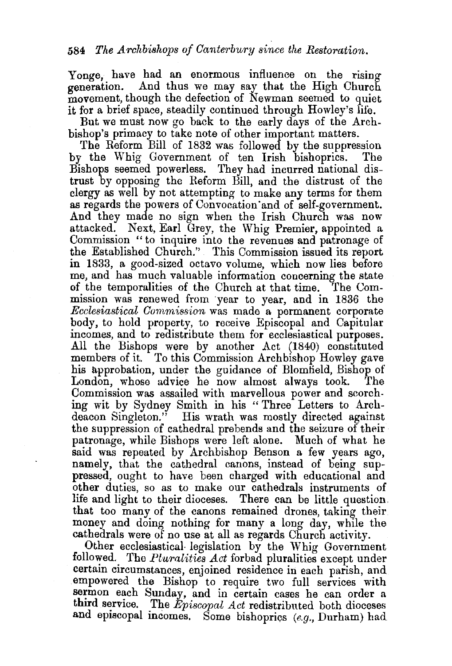Yonge, have had an enormous influence on the rising generation. And thus we may say that the High Church movement, though the defection of Newman seemed to quiet it for a brief space, steadily continued through Howley's life.

But we must now go back to the early days of the Archbishop's primacy to take note of other important matters.

The Reform Bill of 1832 was followed by the suppression the Whig Government of ten Irish bishoprics. The by the Whig Government of ten Irish bishoprics. Bishops seemed powerless. They had incurred national distrust by opposing the Reform Bill, and the distrust of the clergy as well by not attempting to make any terms for them as regards the powers of Convocation'and of self-government. And they made no sign when the Irish Church was now attacked. Next, Earl Grey, the Whig Premier, appointed a Commission "to inquire into the revenues and patronage of the Established Church." This Commission issued its report in 1833, a good-sized octavo volume, which now lies before me, and has much valuable information concerning the state of the temporalities of the Church at that time. The Commission was renewed from year to year, and in 1836 the *Ecclesiastical Commission* was made a permanent corporate body, to hold property, to receive Episcopal and Capitular incomes, and to redistribute them for ecclesiastical purposes. All the Bishops were by another Act (1840) constituted members of it. To this Commission Archbishop Howley gave his approbation, under the guidance of Blomfield, Bishop of London, whose advice he now almost always took. The Commission was assailed with marvellous power and scorching wit by Sydney Smith in his " Three Letters to Archdeacon Singleton." His wrath was mostly directed against the suppression of cathedral prebends and the seizure of their patronage, while Bishops were left alone. Much of what he said was repeated by Archbishop Benson a few years ago, namely, that the cathedral canons, instead of being suppressed, ought to have been charged with educational and other duties, so as to make our cathedrals instruments of life and light to their dioceses. There can be little question. that too many of the canons remained drones, taking their money and doing nothing for many a long day, while the cathedrals were of no use at all as regards Church activity.

Other ecclesiastical legislation by the Whig Government followed. The *Pluralities Act* forbad pluralities except under certain circumstances, enjoined residence in each parish, and empowered the Bishop to require two full services with sermon each Sunday, and in certain cases he can order a third service. The *Episcopal Act* redistributed both dioceses and episcopal incomes. Some bishoprics  $(e.g.,$  Durham) had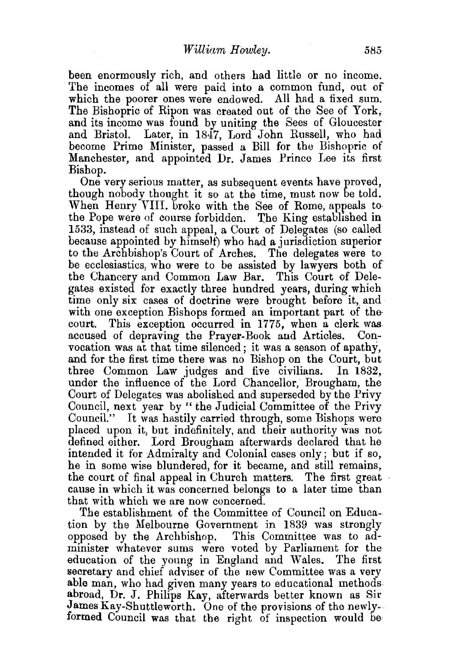been enormously rich, and others had little or no income. The incomes of all were paid into a common fund, out of which the poorer ones were endowed. All had a fixed sum. The Bishopric of Ripon was created out of the See of York, and its income was found by uniting the Sees of Gloucester and Bristol. Later, in 1847, Lord John Russell, who had become Prime Minister, passed a Bill for the Bishopric of Manchester, and appointed Dr. James Prince Lee its first Bishop.

One very serious matter, as subsequent events have proved, though nobody thought it so at the time, must now be told. When Henry VIII. broke with the See of Rome, appeals to the Pope were of course forbidden. The King established in 1533, instead of such appeal, a Court of Delegates (so called because appointed by himself) who had a jurisdiction superior to the Archbishop's Court of Arches. The delegates were to be ecclesiastics, who were to be assisted by lawyers both of the Chancery and Common Law Bar. This Court of Delegates existed for exactly three hundred years, during which time only six cases of doctrine were brought before it, and with one exception Bishops formed an important part of the-<br>court. This exception occurred in 1775, when a clerk was This exception occurred in 1775, when a clerk was accused of depraving the Prayer-Book and Articles. Convocation was at that time silenced; it was a season of apathy, and for the first time there was no Bishop on the Court, but three Common Law judges and five civilians. In 1832, under the influence of the Lord Chancellor, Brougham, the Court of Delegates was abolished and superseded by the Privy Council, next year by " the Judicial Committee of the Privy Council." It was hastily carried through, some Bishops were placed upon it, but indefinitely, and their authority was not defined either. Lord Brougham afterwards declared that he intended it for Admiralty and Colonial cases only; but if so, he in some wise blundered, for it became, and still remains, the court of final appeal in Church matters. The first great cause in which it was concerned belongs to a later time than that with which we are now concerned.

The establishment of the Committee of Council on Education by the Melbourne Government in 1839 was strongly opposed by the Archbishop. This Committee was to administer whatever sums were voted by Parliament for the education of the young in England and Wales. The first secretary and chief adviser of the new Committee was a very able man, who had given many years to educational methods abroad, Dr. J. Philips Kay, afterwards better known as Sir James Kay-Shuttleworth. One of the provisions of the newlyformed Council was that the right of inspection would be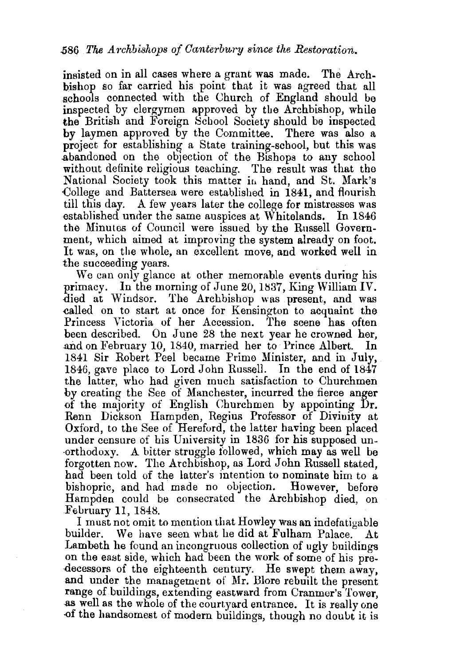insisted on in all cases where a grant was made. The Archbishop so far carried his point that it was agreed that all schools connected with the Church of England should be inspected by clergymen approved by the Archbishop, while the British and Foreign School Society should be inspected by laymen approved by the Committee. There was also a project for establishing a State training-school, but this was abandoned on the objection of the Bishops to any school without definite religious teaching. The result was that the National Society took this matter in hand, and St. Mark's College and Battersea were established in 1841, and flourish till this day. A few years later the college for mistresses was established under the same auspices at Whitelands. In 1846 the Minutes of Council were issued by the Russell Government, which aimed at improving the system already on foot. It was, on the whole, an excellent move, and worked well in the succeeding years.

We can only glance at other memorable events during his primacy. In the morning of June 20, 1837, King William IV. died at Windsor. The Archbishop was present, and was ealled on to start at once for Kensington to acquaint the Princess Victoria of her Accession. The scene has often been described. On June 28 the next year he crowned her, and on February 10, 1840, married her to· Prince Albert. In 1841 Sir Robert Peel became Prime Minister, and in July, 1846, gave place to Lord John Russell. In the end of 1847 the latter, who had given much satisfaction to Churchmen by creating the See of Manchester, incurred the fierce anger of the majority of English Churchmen by appointing  $Dr.$ Renn Dickson Hampden, Regius Professor of Divinity at Oxford, to the See of Hereford, the latter having been placed under censure of his University in 1836 for his supposed un- ·orthodoxy. A bitter struggle followed, which may as well be forgotten now. The Archbishop, as Lord John Russell stated, had been told of the latter's intention to nominate him to a bishopric, and had made no objection. However, before Hampden could be consecrated the Archbishop died, on February 11, 1848.

I must not omit to mention that Howley was an indefatigable builder. We have seen what he did at Fulham Palace. At Lambeth he found an incongruous collection of ugly buildings on the east side, which had been the work of some of his predecessors of the eighteenth century. He swept them away, and under the management of Mr. Blore rebuilt the present range of buildings, extending eastward from Cranmer's Tower, as well as the whole of the courtyard entrance. It is really one -of the handsomest of modern buildings, though no douut it is